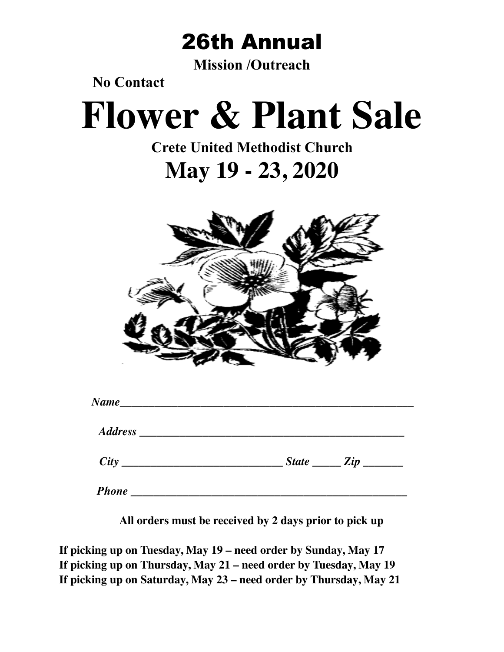

**Mission /Outreach** 

 **No Contact** 

# **Flower & Plant Sale**

# **Crete United Methodist Church May 19 - 23, 2020**



| $State$ $Zip$ $\qquad$ |
|------------------------|

**All orders must be received by 2 days prior to pick up**

**If picking up on Tuesday, May 19 – need order by Sunday, May 17 If picking up on Thursday, May 21 – need order by Tuesday, May 19 If picking up on Saturday, May 23 – need order by Thursday, May 21**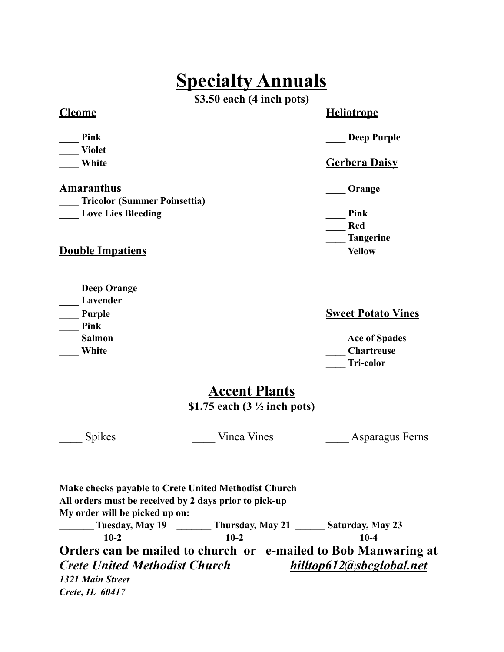# **Specialty Annuals**

**\$3.50 each (4 inch pots)** 

**\_\_\_\_ Violet** 

### **Cleome Heliotrope**

**Pink** Deep Purple

### **The White Gerbera Daisy** Gerbera Daisy

**Amaranthus Constanting Constanting Constanting Constanting Constanting Constanting Constanting Constanting Constanting Constanting Constanting Constanting Constanting Constanting Constanting Constanting Constanting Consta** 

**Love Lies Bleeding**  Pink  **\_\_\_\_ Red \_\_\_\_ Tangerine** 

**Double Impatiens Vellow Properties** 

**\_\_\_\_ Tricolor (Summer Poinsettia)** 

| <b>Deep Orange</b> |
|--------------------|
| Lavender           |
| <b>Purple</b>      |
| Pink               |
| Salmon             |

**Sweet Potato Vines** 

**\_\_\_\_ Salmon \_\_\_\_ Ace of Spades White Chartreuse White** *Chartreuse*  **\_\_\_\_ Tri-color** 

### **Accent Plants**

**\$1.75 each (3 ½ inch pots)** 

\_\_\_\_ Spikes \_\_\_\_ Vinca Vines \_\_\_\_ Asparagus Ferns

**Make checks payable to Crete United Methodist Church All orders must be received by 2 days prior to pick-up My order will be picked up on: \_\_\_\_\_\_\_ Tuesday, May 19 \_\_\_\_\_\_\_ Thursday, May 21 \_\_\_\_\_\_ Saturday, May 23 10-2 10-2 10-4 Orders can be mailed to church or e-mailed to Bob Manwaring at**  *[Crete](mailto:Crete) United Methodist Church hilltop612@sbcglobal.net 1321 Main Street Crete, IL 60417*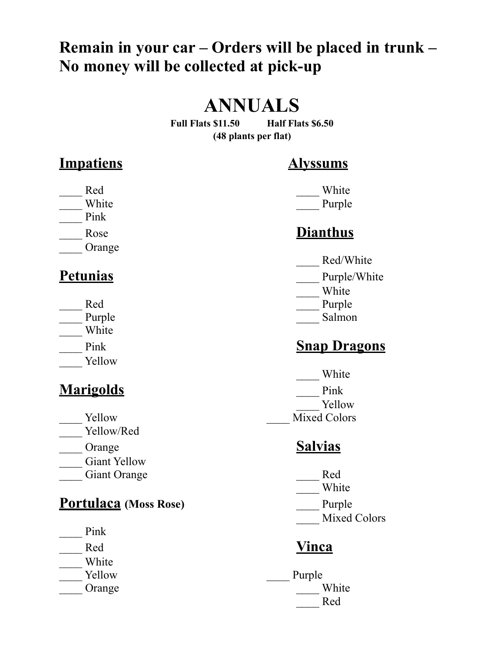# **Remain in your car – Orders will be placed in trunk – No money will be collected at pick-up**

# **ANNUALS**

**Full Flats \$11.50 Half Flats \$6.50 (48 plants per flat)** 

### **Impatiens Alyssums**

- example and  $\blacksquare$  Red White
- \_\_\_\_ Pink
- 
- \_\_\_\_ Orange

- 
- 
- \_\_\_\_ White
- 
- Yellow

# **Marigolds** Pink

- 
- \_\_\_\_ Yellow/Red
- \_\_\_\_ Orange **Salvias**
- Giant Yellow
- Giant Orange The Red

### **Portulaca** (Moss Rose) Purple

- \_\_\_\_ Pink
- 
- \_\_\_\_ White
- 
- 

White Purple

# Rose **Dianthus**

- \_\_\_\_ Red/White
- **Petunias** Purple/White
	- \_\_\_\_ White
	- Red Purple
	- Purple Salmon

# Pink **Snap Dragons**

 \_\_\_\_ White \_\_\_\_ Yellow Yellow Mixed Colors

- 
- \_\_\_\_ White
- 
- Mixed Colors

# Red **Vinca**

Yellow Purple Orange White \_\_\_\_ Red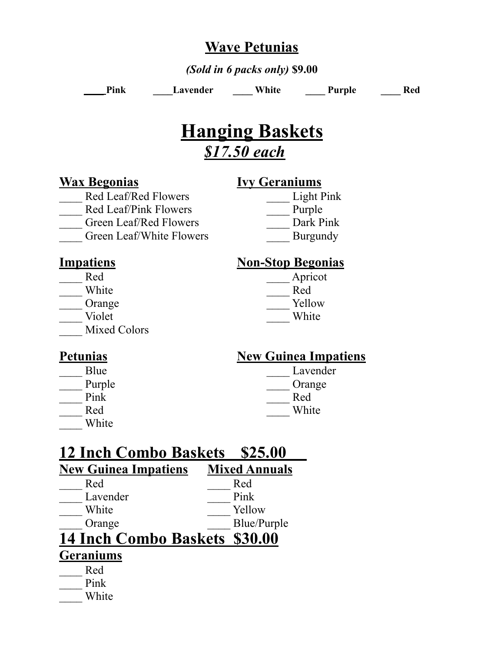### **Wave Petunias**

*(Sold in 6 packs only)* **\$9.00**

Pink Lavender White Purple Red

# **Hanging Baskets** *\$17.50 each*

### **Wax Begonias Ivy Geraniums**

- Red Leaf/Red Flowers Light Pink Red Leaf/Pink Flowers Purple Green Leaf/Red Flowers **Dark Pink** 
	- Green Leaf/White Flowers Burgundy

- 
- 
- 
- Mixed Colors

### **Impatiens** Non-Stop Begonias

- Red Apricot \_\_\_\_ White \_\_\_\_ Red Orange Tellow
	- Violet White

### Blue Lavender Purple Crange

- Pink Red
- \_\_\_\_ White

### Petunias New Guinea Impatiens

Red White

| <b>12 Inch Combo Baskets</b>  | \$25.00              |
|-------------------------------|----------------------|
| <b>New Guinea Impatiens</b>   | <b>Mixed Annuals</b> |
| Red                           | Red                  |
| Lavender                      | Pink                 |
| White                         | Yellow               |
| Orange                        | Blue/Purple          |
| 14 Inch Combo Baskets \$30.00 |                      |
| <b>Geraniums</b>              |                      |
| Red                           |                      |

Pink

\_\_\_\_ White